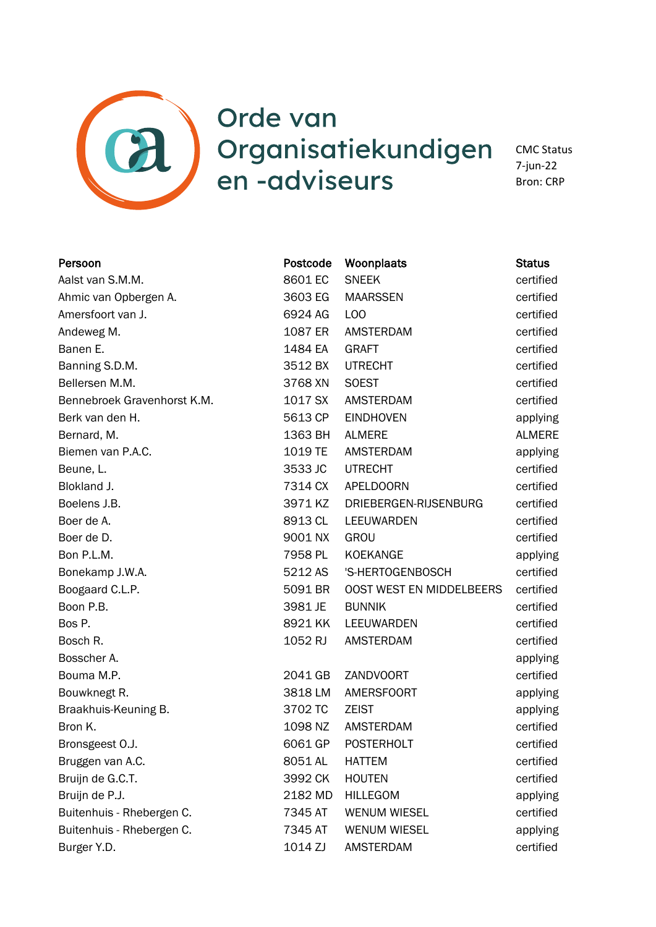

## Orde van Organisatiekundigen en -adviseurs

CMC Status 7-jun-22 Bron: CRP

| Persoon                     | Postcode | Woonplaats               | <b>Status</b> |
|-----------------------------|----------|--------------------------|---------------|
| Aalst van S.M.M.            | 8601 EC  | <b>SNEEK</b>             | certified     |
| Ahmic van Opbergen A.       | 3603 EG  | <b>MAARSSEN</b>          | certified     |
| Amersfoort van J.           | 6924 AG  | L <sub>O</sub> O         | certified     |
| Andeweg M.                  | 1087 ER  | AMSTERDAM                | certified     |
| Banen E.                    | 1484 EA  | <b>GRAFT</b>             | certified     |
| Banning S.D.M.              | 3512 BX  | <b>UTRECHT</b>           | certified     |
| Bellersen M.M.              | 3768 XN  | <b>SOEST</b>             | certified     |
| Bennebroek Gravenhorst K.M. | 1017 SX  | AMSTERDAM                | certified     |
| Berk van den H.             | 5613 CP  | <b>EINDHOVEN</b>         | applying      |
| Bernard, M.                 | 1363 BH  | <b>ALMERE</b>            | <b>ALMERE</b> |
| Biemen van P.A.C.           | 1019 TE  | <b>AMSTERDAM</b>         | applying      |
| Beune, L.                   | 3533 JC  | <b>UTRECHT</b>           | certified     |
| Blokland J.                 | 7314 CX  | <b>APELDOORN</b>         | certified     |
| Boelens J.B.                | 3971 KZ  | DRIEBERGEN-RIJSENBURG    | certified     |
| Boer de A.                  | 8913 CL  | LEEUWARDEN               | certified     |
| Boer de D.                  | 9001 NX  | GROU                     | certified     |
| Bon P.L.M.                  | 7958 PL  | KOEKANGE                 | applying      |
| Bonekamp J.W.A.             | 5212 AS  | 'S-HERTOGENBOSCH         | certified     |
| Boogaard C.L.P.             | 5091 BR  | OOST WEST EN MIDDELBEERS | certified     |
| Boon P.B.                   | 3981 JE  | <b>BUNNIK</b>            | certified     |
| Bos P.                      | 8921 KK  | LEEUWARDEN               | certified     |
| Bosch R.                    | 1052 RJ  | AMSTERDAM                | certified     |
| Bosscher A.                 |          |                          | applying      |
| Bouma M.P.                  | 2041 GB  | <b>ZANDVOORT</b>         | certified     |
| Bouwknegt R.                | 3818 LM  | AMERSFOORT               | applying      |
| Braakhuis-Keuning B.        | 3702 TC  | <b>ZEIST</b>             | applying      |
| Bron K.                     | 1098 NZ  | AMSTERDAM                | certified     |
| Bronsgeest O.J.             | 6061 GP  | <b>POSTERHOLT</b>        | certified     |
| Bruggen van A.C.            | 8051 AL  | <b>HATTEM</b>            | certified     |
| Bruijn de G.C.T.            | 3992 CK  | <b>HOUTEN</b>            | certified     |
| Bruijn de P.J.              | 2182 MD  | <b>HILLEGOM</b>          | applying      |
| Buitenhuis - Rhebergen C.   | 7345 AT  | <b>WENUM WIESEL</b>      | certified     |
| Buitenhuis - Rhebergen C.   | 7345 AT  | <b>WENUM WIESEL</b>      | applying      |
| Burger Y.D.                 | 1014 ZJ  | <b>AMSTERDAM</b>         | certified     |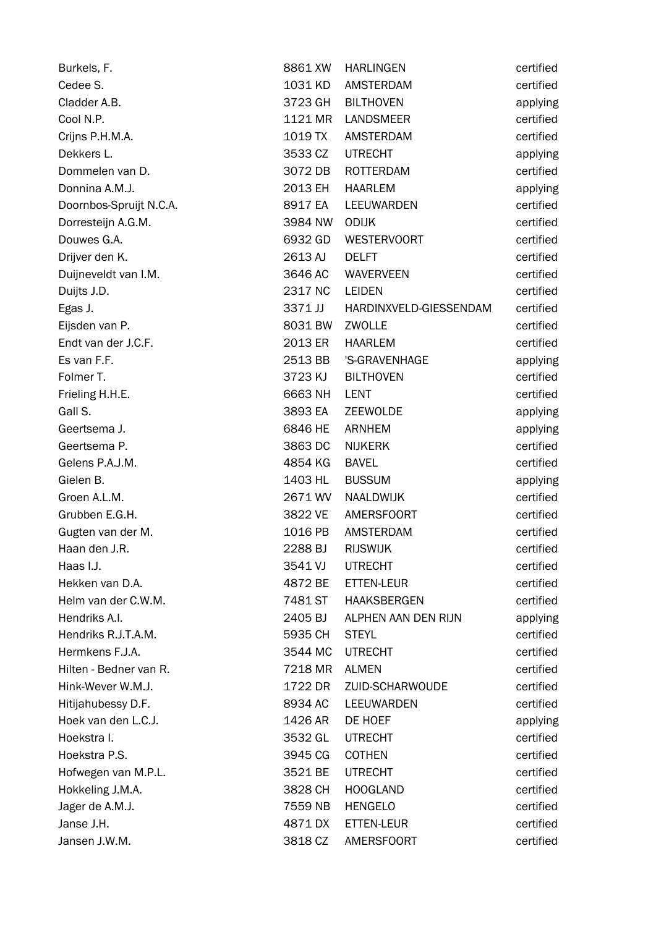| Burkels, F.             | 8861 XW | <b>HARLINGEN</b>       | certified |
|-------------------------|---------|------------------------|-----------|
| Cedee S.                | 1031 KD | AMSTERDAM              | certified |
| Cladder A.B.            | 3723 GH | <b>BILTHOVEN</b>       | applying  |
| Cool N.P.               | 1121 MR | <b>LANDSMEER</b>       | certified |
| Crijns P.H.M.A.         | 1019 TX | AMSTERDAM              | certified |
| Dekkers L.              | 3533 CZ | <b>UTRECHT</b>         | applying  |
| Dommelen van D.         | 3072 DB | ROTTERDAM              | certified |
| Donnina A.M.J.          | 2013 EH | <b>HAARLEM</b>         | applying  |
| Doornbos-Spruijt N.C.A. | 8917 EA | LEEUWARDEN             | certified |
| Dorresteijn A.G.M.      | 3984 NW | <b>ODIJK</b>           | certified |
| Douwes G.A.             | 6932 GD | <b>WESTERVOORT</b>     | certified |
| Drijver den K.          | 2613 AJ | <b>DELFT</b>           | certified |
| Duijneveldt van I.M.    | 3646 AC | <b>WAVERVEEN</b>       | certified |
| Duijts J.D.             | 2317 NC | <b>LEIDEN</b>          | certified |
| Egas J.                 | 3371 JJ | HARDINXVELD-GIESSENDAM | certified |
| Eijsden van P.          | 8031 BW | ZWOLLE                 | certified |
| Endt van der J.C.F.     | 2013 ER | <b>HAARLEM</b>         | certified |
| Es van F.F.             | 2513 BB | 'S-GRAVENHAGE          | applying  |
| Folmer T.               | 3723 KJ | <b>BILTHOVEN</b>       | certified |
| Frieling H.H.E.         | 6663 NH | <b>LENT</b>            | certified |
| Gall S.                 | 3893 EA | ZEEWOLDE               | applying  |
| Geertsema J.            | 6846 HE | ARNHEM                 | applying  |
| Geertsema P.            | 3863 DC | <b>NIJKERK</b>         | certified |
| Gelens P.A.J.M.         | 4854 KG | <b>BAVEL</b>           | certified |
| Gielen B.               | 1403 HL | <b>BUSSUM</b>          | applying  |
| Groen A.L.M.            | 2671 WV | NAALDWIJK              | certified |
| Grubben E.G.H.          | 3822 VE | <b>AMERSFOORT</b>      | certified |
| Gugten van der M.       | 1016 PB | <b>AMSTERDAM</b>       | certified |
| Haan den J.R.           | 2288 BJ | <b>RIJSWIJK</b>        | certified |
| Haas I.J.               | 3541 VJ | <b>UTRECHT</b>         | certified |
| Hekken van D.A.         | 4872 BE | ETTEN-LEUR             | certified |
| Helm van der C.W.M.     | 7481 ST | <b>HAAKSBERGEN</b>     | certified |
| Hendriks A.I.           | 2405 BJ | ALPHEN AAN DEN RIJN    | applying  |
| Hendriks R.J.T.A.M.     | 5935 CH | <b>STEYL</b>           | certified |
| Hermkens F.J.A.         | 3544 MC | <b>UTRECHT</b>         | certified |
| Hilten - Bedner van R.  | 7218 MR | <b>ALMEN</b>           | certified |
| Hink-Wever W.M.J.       | 1722 DR | ZUID-SCHARWOUDE        | certified |
| Hitijahubessy D.F.      | 8934 AC | LEEUWARDEN             | certified |
| Hoek van den L.C.J.     | 1426 AR | DE HOEF                | applying  |
| Hoekstra I.             | 3532 GL | <b>UTRECHT</b>         | certified |
| Hoekstra P.S.           | 3945 CG | <b>COTHEN</b>          | certified |
| Hofwegen van M.P.L.     | 3521 BE | <b>UTRECHT</b>         | certified |
| Hokkeling J.M.A.        | 3828 CH | <b>HOOGLAND</b>        | certified |
| Jager de A.M.J.         | 7559 NB | <b>HENGELO</b>         | certified |
| Janse J.H.              | 4871 DX | ETTEN-LEUR             | certified |
| Jansen J.W.M.           | 3818 CZ | <b>AMERSFOORT</b>      | certified |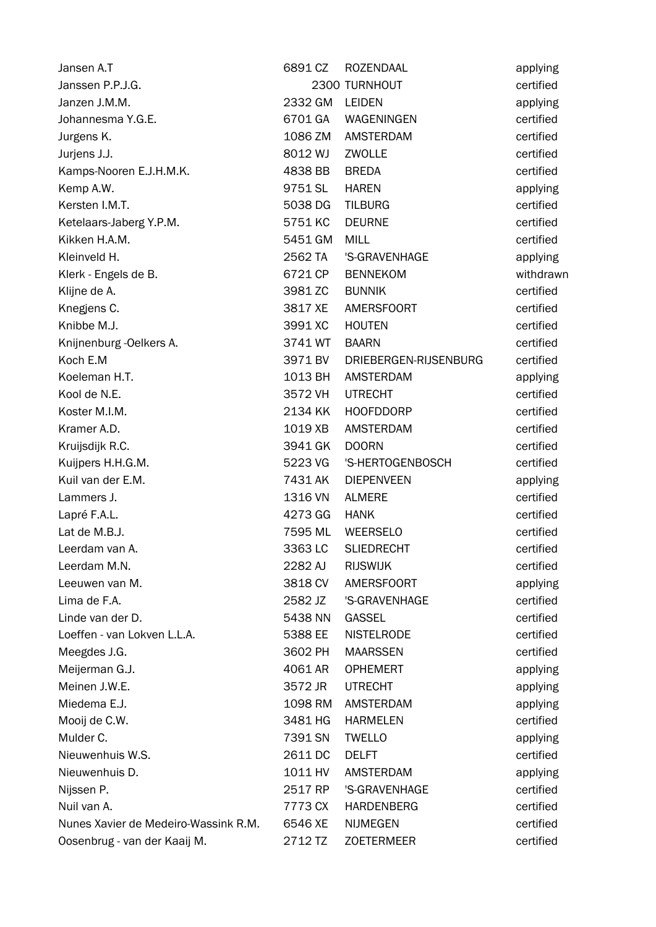| Jansen A.T                           | 6891 CZ | <b>ROZENDAAL</b>      | applying  |
|--------------------------------------|---------|-----------------------|-----------|
| Janssen P.P.J.G.                     |         | 2300 TURNHOUT         | certified |
| Janzen J.M.M.                        | 2332 GM | <b>LEIDEN</b>         | applying  |
| Johannesma Y.G.E.                    | 6701 GA | WAGENINGEN            | certified |
| Jurgens K.                           | 1086 ZM | AMSTERDAM             | certified |
| Jurjens J.J.                         | 8012 WJ | ZWOLLE                | certified |
| Kamps-Nooren E.J.H.M.K.              | 4838 BB | <b>BREDA</b>          | certified |
| Kemp A.W.                            | 9751 SL | <b>HAREN</b>          | applying  |
| Kersten I.M.T.                       | 5038 DG | <b>TILBURG</b>        | certified |
| Ketelaars-Jaberg Y.P.M.              | 5751 KC | <b>DEURNE</b>         | certified |
| Kikken H.A.M.                        | 5451 GM | <b>MILL</b>           | certified |
| Kleinveld H.                         | 2562 TA | 'S-GRAVENHAGE         | applying  |
| Klerk - Engels de B.                 | 6721 CP | <b>BENNEKOM</b>       | withdrawn |
| Klijne de A.                         | 3981 ZC | <b>BUNNIK</b>         | certified |
| Knegjens C.                          | 3817 XE | <b>AMERSFOORT</b>     | certified |
| Knibbe M.J.                          | 3991 XC | <b>HOUTEN</b>         | certified |
| Knijnenburg - Oelkers A.             | 3741 WT | <b>BAARN</b>          | certified |
| Koch E.M                             | 3971 BV | DRIEBERGEN-RIJSENBURG | certified |
| Koeleman H.T.                        | 1013 BH | <b>AMSTERDAM</b>      | applying  |
| Kool de N.E.                         | 3572 VH | <b>UTRECHT</b>        | certified |
| Koster M.I.M.                        | 2134 KK | <b>HOOFDDORP</b>      | certified |
| Kramer A.D.                          | 1019 XB | <b>AMSTERDAM</b>      | certified |
| Kruijsdijk R.C.                      | 3941 GK | <b>DOORN</b>          | certified |
| Kuijpers H.H.G.M.                    | 5223 VG | 'S-HERTOGENBOSCH      | certified |
| Kuil van der E.M.                    | 7431 AK | <b>DIEPENVEEN</b>     | applying  |
| Lammers J.                           | 1316 VN | <b>ALMERE</b>         | certified |
| Lapré F.A.L.                         | 4273 GG | <b>HANK</b>           | certified |
| Lat de M.B.J.                        | 7595 ML | <b>WEERSELO</b>       | certified |
| Leerdam van A.                       | 3363 LC | <b>SLIEDRECHT</b>     | certified |
| Leerdam M.N.                         | 2282 AJ | <b>RIJSWIJK</b>       | certified |
| Leeuwen van M.                       | 3818 CV | <b>AMERSFOORT</b>     | applying  |
| Lima de F.A.                         | 2582 JZ | 'S-GRAVENHAGE         | certified |
| Linde van der D.                     | 5438 NN | <b>GASSEL</b>         | certified |
| Loeffen - van Lokven L.L.A.          | 5388 EE | <b>NISTELRODE</b>     | certified |
| Meegdes J.G.                         | 3602 PH | <b>MAARSSEN</b>       | certified |
| Meijerman G.J.                       | 4061 AR | <b>OPHEMERT</b>       | applying  |
| Meinen J.W.E.                        | 3572 JR | <b>UTRECHT</b>        | applying  |
| Miedema E.J.                         | 1098 RM | <b>AMSTERDAM</b>      | applying  |
| Mooij de C.W.                        | 3481 HG | <b>HARMELEN</b>       | certified |
| Mulder C.                            | 7391 SN | <b>TWELLO</b>         | applying  |
| Nieuwenhuis W.S.                     | 2611 DC | <b>DELFT</b>          | certified |
| Nieuwenhuis D.                       | 1011 HV | <b>AMSTERDAM</b>      | applying  |
| Nijssen P.                           | 2517 RP | 'S-GRAVENHAGE         | certified |
| Nuil van A.                          | 7773 CX | <b>HARDENBERG</b>     | certified |
| Nunes Xavier de Medeiro-Wassink R.M. | 6546 XE | <b>NIJMEGEN</b>       | certified |
| Oosenbrug - van der Kaaij M.         | 2712 TZ | <b>ZOETERMEER</b>     | certified |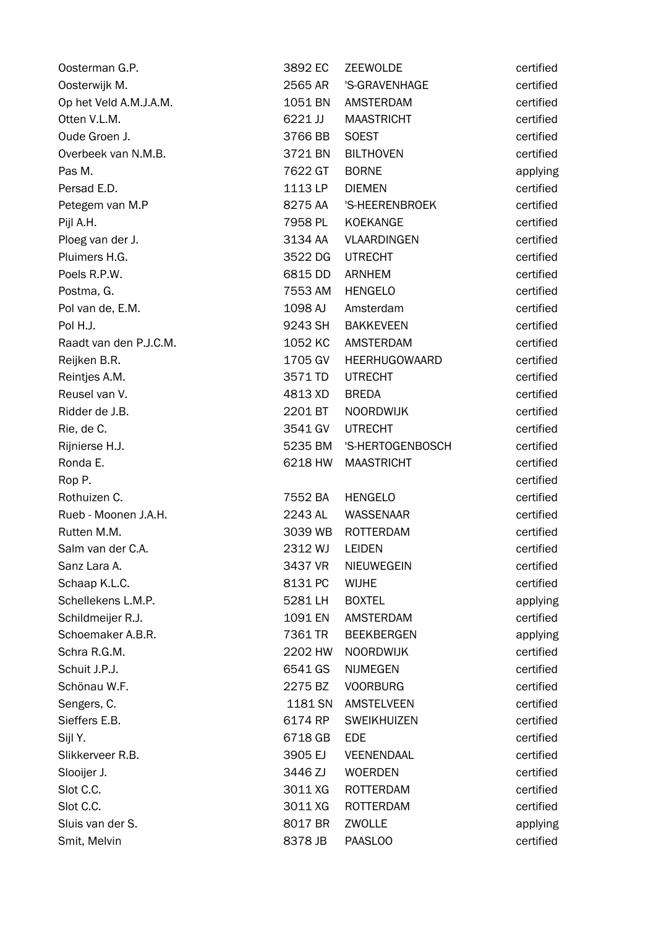| Oosterman G.P.         | 3892 EC | ZEEWOLDE           | certified |
|------------------------|---------|--------------------|-----------|
| Oosterwijk M.          | 2565 AR | 'S-GRAVENHAGE      | certified |
| Op het Veld A.M.J.A.M. | 1051 BN | <b>AMSTERDAM</b>   | certified |
| Otten V.L.M.           | 6221 JJ | <b>MAASTRICHT</b>  | certified |
| Oude Groen J.          | 3766 BB | <b>SOEST</b>       | certified |
| Overbeek van N.M.B.    | 3721 BN | <b>BILTHOVEN</b>   | certified |
| Pas M.                 | 7622 GT | <b>BORNE</b>       | applying  |
| Persad E.D.            | 1113 LP | <b>DIEMEN</b>      | certified |
| Petegem van M.P        | 8275 AA | 'S-HEERENBROEK     | certified |
| Pijl A.H.              | 7958 PL | KOEKANGE           | certified |
| Ploeg van der J.       | 3134 AA | <b>VLAARDINGEN</b> | certified |
| Pluimers H.G.          | 3522 DG | <b>UTRECHT</b>     | certified |
| Poels R.P.W.           | 6815 DD | <b>ARNHEM</b>      | certified |
| Postma, G.             | 7553 AM | <b>HENGELO</b>     | certified |
| Pol van de, E.M.       | 1098 AJ | Amsterdam          | certified |
| Pol H.J.               | 9243 SH | <b>BAKKEVEEN</b>   | certified |
| Raadt van den P.J.C.M. | 1052 KC | AMSTERDAM          | certified |
| Reijken B.R.           | 1705 GV | HEERHUGOWAARD      | certified |
| Reintjes A.M.          | 3571 TD | <b>UTRECHT</b>     | certified |
| Reusel van V.          | 4813 XD | <b>BREDA</b>       | certified |
| Ridder de J.B.         | 2201 BT | <b>NOORDWIJK</b>   | certified |
| Rie, de C.             | 3541 GV | <b>UTRECHT</b>     | certified |
| Rijnierse H.J.         | 5235 BM | 'S-HERTOGENBOSCH   | certified |
| Ronda E.               | 6218 HW | <b>MAASTRICHT</b>  | certified |
| Rop P.                 |         |                    | certified |
| Rothuizen C.           | 7552 BA | <b>HENGELO</b>     | certified |
| Rueb - Moonen J.A.H.   | 2243 AL | <b>WASSENAAR</b>   | certified |
| Rutten M.M.            | 3039 WB | <b>ROTTERDAM</b>   | certified |
| Salm van der C.A.      | 2312 WJ | <b>LEIDEN</b>      | certified |
| Sanz Lara A.           | 3437 VR | NIEUWEGEIN         | certified |
| Schaap K.L.C.          | 8131 PC | <b>WIJHE</b>       | certified |
| Schellekens L.M.P.     | 5281 LH | <b>BOXTEL</b>      | applying  |
| Schildmeijer R.J.      | 1091 EN | AMSTERDAM          | certified |
| Schoemaker A.B.R.      | 7361 TR | <b>BEEKBERGEN</b>  | applying  |
| Schra R.G.M.           | 2202 HW | <b>NOORDWIJK</b>   | certified |
| Schuit J.P.J.          | 6541 GS | <b>NIJMEGEN</b>    | certified |
| Schönau W.F.           | 2275 BZ | <b>VOORBURG</b>    | certified |
| Sengers, C.            | 1181 SN | <b>AMSTELVEEN</b>  | certified |
| Sieffers E.B.          | 6174 RP | <b>SWEIKHUIZEN</b> | certified |
| Sijl Y.                | 6718 GB | <b>EDE</b>         | certified |
| Slikkerveer R.B.       | 3905 EJ | VEENENDAAL         | certified |
| Slooijer J.            | 3446 ZJ | <b>WOERDEN</b>     | certified |
| Slot C.C.              | 3011 XG | ROTTERDAM          | certified |
| Slot C.C.              | 3011 XG | <b>ROTTERDAM</b>   | certified |
| Sluis van der S.       | 8017 BR | ZWOLLE             | applying  |
| Smit, Melvin           | 8378 JB | PAASLOO            | certified |
|                        |         |                    |           |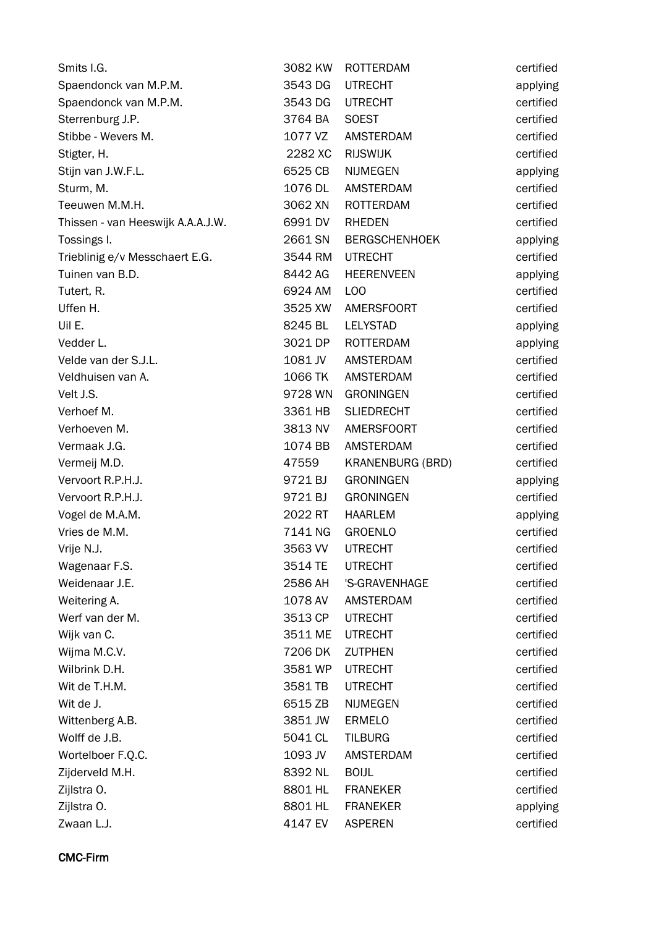| Smits I.G.                        | 3082 KW | <b>ROTTERDAM</b>        | certified |
|-----------------------------------|---------|-------------------------|-----------|
| Spaendonck van M.P.M.             | 3543 DG | <b>UTRECHT</b>          | applying  |
| Spaendonck van M.P.M.             | 3543 DG | <b>UTRECHT</b>          | certified |
| Sterrenburg J.P.                  | 3764 BA | <b>SOEST</b>            | certified |
| Stibbe - Wevers M.                | 1077 VZ | <b>AMSTERDAM</b>        | certified |
| Stigter, H.                       | 2282 XC | <b>RIJSWIJK</b>         | certified |
| Stijn van J.W.F.L.                | 6525 CB | <b>NIJMEGEN</b>         | applying  |
| Sturm, M.                         | 1076 DL | AMSTERDAM               | certified |
| Teeuwen M.M.H.                    | 3062 XN | <b>ROTTERDAM</b>        | certified |
| Thissen - van Heeswijk A.A.A.J.W. | 6991 DV | <b>RHEDEN</b>           | certified |
| Tossings I.                       | 2661 SN | <b>BERGSCHENHOEK</b>    | applying  |
| Trieblinig e/v Messchaert E.G.    | 3544 RM | <b>UTRECHT</b>          | certified |
| Tuinen van B.D.                   | 8442 AG | <b>HEERENVEEN</b>       | applying  |
| Tutert, R.                        | 6924 AM | L <sub>O</sub> O        | certified |
| Uffen H.                          | 3525 XW | <b>AMERSFOORT</b>       | certified |
| Uil E.                            | 8245 BL | <b>LELYSTAD</b>         | applying  |
| Vedder L.                         | 3021 DP | ROTTERDAM               | applying  |
| Velde van der S.J.L.              | 1081 JV | AMSTERDAM               | certified |
| Veldhuisen van A.                 | 1066 TK | AMSTERDAM               | certified |
| Velt J.S.                         | 9728 WN | <b>GRONINGEN</b>        | certified |
| Verhoef M.                        | 3361 HB | <b>SLIEDRECHT</b>       | certified |
| Verhoeven M.                      | 3813 NV | <b>AMERSFOORT</b>       | certified |
| Vermaak J.G.                      | 1074 BB | AMSTERDAM               | certified |
| Vermeij M.D.                      | 47559   | <b>KRANENBURG (BRD)</b> | certified |
| Vervoort R.P.H.J.                 | 9721 BJ | <b>GRONINGEN</b>        | applying  |
| Vervoort R.P.H.J.                 | 9721 BJ | <b>GRONINGEN</b>        | certified |
| Vogel de M.A.M.                   | 2022 RT | <b>HAARLEM</b>          | applying  |
| Vries de M.M.                     | 7141 NG | <b>GROENLO</b>          | certified |
| Vrije N.J.                        | 3563 VV | <b>UTRECHT</b>          | certified |
| Wagenaar F.S.                     | 3514 TE | <b>UTRECHT</b>          | certified |
| Weidenaar J.E.                    | 2586 AH | 'S-GRAVENHAGE           | certified |
| Weitering A.                      | 1078 AV | AMSTERDAM               | certified |
| Werf van der M.                   | 3513 CP | <b>UTRECHT</b>          | certified |
| Wijk van C.                       | 3511 ME | <b>UTRECHT</b>          | certified |
| Wijma M.C.V.                      | 7206 DK | <b>ZUTPHEN</b>          | certified |
| Wilbrink D.H.                     | 3581 WP | <b>UTRECHT</b>          | certified |
| Wit de T.H.M.                     | 3581 TB | <b>UTRECHT</b>          | certified |
| Wit de J.                         | 6515 ZB | <b>NIJMEGEN</b>         | certified |
| Wittenberg A.B.                   | 3851 JW | <b>ERMELO</b>           | certified |
| Wolff de J.B.                     | 5041 CL | <b>TILBURG</b>          | certified |
| Wortelboer F.Q.C.                 | 1093 JV | <b>AMSTERDAM</b>        | certified |
| Zijderveld M.H.                   | 8392 NL | <b>BOIJL</b>            | certified |
| Zijlstra O.                       | 8801 HL | <b>FRANEKER</b>         | certified |
| Zijlstra O.                       | 8801 HL | <b>FRANEKER</b>         | applying  |
| Zwaan L.J.                        | 4147 EV | <b>ASPEREN</b>          | certified |

CMC-Firm